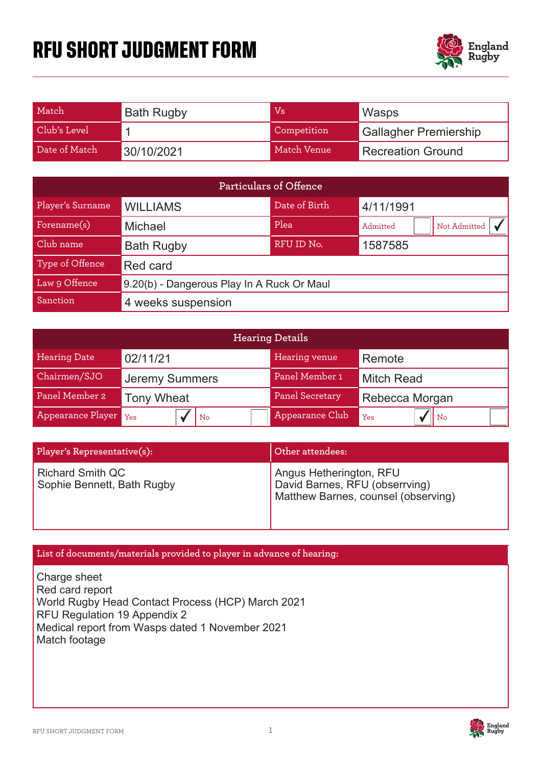# **RFU SHORT JUDGMENT FORM**



| Match         | <b>Bath Rugby</b> | Vs          | Wasps                        |
|---------------|-------------------|-------------|------------------------------|
| Club's Level  |                   | Competition | <b>Gallagher Premiership</b> |
| Date of Match | 30/10/2021        | Match Venue | <b>Recreation Ground</b>     |

| <b>Particulars of Offence</b> |                                            |               |                          |  |  |
|-------------------------------|--------------------------------------------|---------------|--------------------------|--|--|
| Player's Surname              | <b>WILLIAMS</b>                            | Date of Birth | 4/11/1991                |  |  |
| Forename(s)                   | <b>Michael</b>                             | Plea          | Not Admitted<br>Admitted |  |  |
| Club name                     | <b>Bath Rugby</b>                          | RFU ID No.    | 1587585                  |  |  |
| Type of Offence               | Red card                                   |               |                          |  |  |
| Law 9 Offence                 | 9.20(b) - Dangerous Play In A Ruck Or Maul |               |                          |  |  |
| Sanction                      | 4 weeks suspension                         |               |                          |  |  |

| <b>Hearing Details</b> |                       |                        |                       |  |  |
|------------------------|-----------------------|------------------------|-----------------------|--|--|
| <b>Hearing Date</b>    | 02/11/21              | Hearing venue          | Remote                |  |  |
| Chairmen/SJO           | <b>Jeremy Summers</b> | Panel Member 1         | <b>Mitch Read</b>     |  |  |
| Panel Member 2         | <b>Tony Wheat</b>     | <b>Panel Secretary</b> | Rebecca Morgan        |  |  |
| Appearance Player Yes  | $ $ No                | Appearance Club        | $\parallel$ No<br>Yes |  |  |

| Player's Representative(s):                           | Other attendees:                                                                                 |
|-------------------------------------------------------|--------------------------------------------------------------------------------------------------|
| <b>Richard Smith QC</b><br>Sophie Bennett, Bath Rugby | Angus Hetherington, RFU<br>David Barnes, RFU (obserrving)<br>Matthew Barnes, counsel (observing) |

# **List of documents/materials provided to player in advance of hearing:**

Charge sheet **Red card report** World Rugby Head Contact Process (HCP) March 2021 RFU Regulation 19 Appendix 2 Medical report from Wasps dated 1 November 2021 Match footage

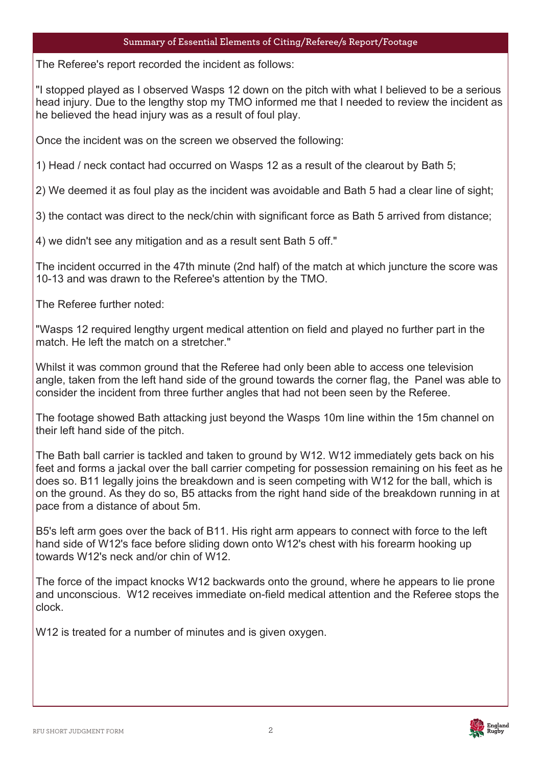# **Summary of Essential Elements of Citing/Referee/s Report/Footage**

The Refere The Referee's report recorded the incident as follows:

"I stopped played as I observed Wasps 12 down on the pitch with what I believed to be a serious head injury. Due to the lengthy stop my TMO informed me that I needed to review the incident as he believed the head injury was as a result of foul play.

Once the incident was on the screen we observed the following:

1) Head / neck contact had occurred on Wasps 12 as a result of the clearout by Bath 5;

2) We deemed it as foul play as the incident was avoidable and Bath 5 had a clear line of sight;

3) the contact was direct to the neck/chin with significant force as Bath 5 arrived from distance;

4) we didn't see any mitigation and as a result sent Bath 5 off."

The incident occurred in the 47th minute (2nd half) of the match at which juncture the score was 10-13 and was drawn to the Referee's attention by the TMO.

The Referee further noted:

"Wasps 12 required lengthy urgent medical attention on field and played no further part in the match. He left the match on a stretcher."

Whilst it was common ground that the Referee had only been able to access one television angle, taken from the left hand side of the ground towards the corner flag, the Panel was able to consider the incident from three further angles that had not been seen by the Referee.

The footage showed Bath attacking just beyond the Wasps 10m line within the 15m channel on their left hand side of the pitch.

The Bath ball carrier is tackled and taken to ground by W12. W12 immediately gets back on his feet and forms a jackal over the ball carrier competing for possession remaining on his feet as he does so. B11 legally joins the breakdown and is seen competing with W12 for the ball, which is on the ground. As they do so, B5 attacks from the right hand side of the breakdown running in at pace from a distance of about 5m.

B5's left arm goes over the back of B11. His right arm appears to connect with force to the left hand side of W12's face before sliding down onto W12's chest with his forearm hooking up towards W12's neck and/or chin of W12.

The force of the impact knocks W12 backwards onto the ground, where he appears to lie prone and unconscious. W12 receives immediate on-field medical attention and the Referee stops the clock.

W12 is treated for a number of minutes and is given oxygen.

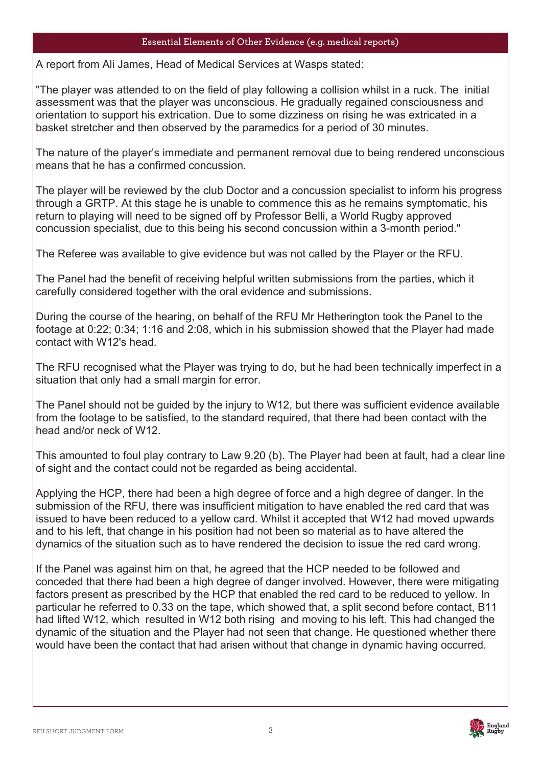# **Essential Elements of Other Evidence (e.g. medical reports)**

 $\Delta$  renort fro A report from Ali James, Head of Medical Services at Wasps stated:

"The player was attended to on the field of play following a collision whilst in a ruck. The initial assessment was that the player was unconscious. He gradually regained consciousness and orientation to support his extrication. Due to some dizziness on rising he was extricated in a basket stretcher and then observed by the paramedics for a period of 30 minutes.

The nature of the player's immediate and permanent removal due to being rendered unconscious means that he has a confirmed concussion.

The player will be reviewed by the club Doctor and a concussion specialist to inform his progress through a GRTP. At this stage he is unable to commence this as he remains symptomatic, his return to playing will need to be signed off by Professor Belli, a World Rugby approved concussion specialist, due to this being his second concussion within a 3-month period."

The Referee was available to give evidence but was not called by the Player or the RFU.

The Panel had the benefit of receiving helpful written submissions from the parties, which it carefully considered together with the oral evidence and submissions.

During the course of the hearing, on behalf of the RFU Mr Hetherington took the Panel to the footage at 0:22; 0:34; 1:16 and 2:08, which in his submission showed that the Player had made contact with W12's head.

The RFU recognised what the Player was trying to do, but he had been technically imperfect in a situation that only had a small margin for error.

The Panel should not be guided by the injury to W12, but there was sufficient evidence available from the footage to be satisfied, to the standard required, that there had been contact with the head and/or neck of W12.

This amounted to foul play contrary to Law 9.20 (b). The Player had been at fault, had a clear line of sight and the contact could not be regarded as being accidental.

Applying the HCP, there had been a high degree of force and a high degree of danger. In the submission of the RFU, there was insufficient mitigation to have enabled the red card that was issued to have been reduced to a yellow card. Whilst it accepted that W12 had moved upwards and to his left, that change in his position had not been so material as to have altered the dynamics of the situation such as to have rendered the decision to issue the red card wrong.

If the Panel was against him on that, he agreed that the HCP needed to be followed and conceded that there had been a high degree of danger involved. However, there were mitigating factors present as prescribed by the HCP that enabled the red card to be reduced to yellow. In particular he referred to 0.33 on the tape, which showed that, a split second before contact, B11 had lifted W12, which resulted in W12 both rising and moving to his left. This had changed the dynamic of the situation and the Player had not seen that change. He questioned whether there would have been the contact that had arisen without that change in dynamic having occurred.

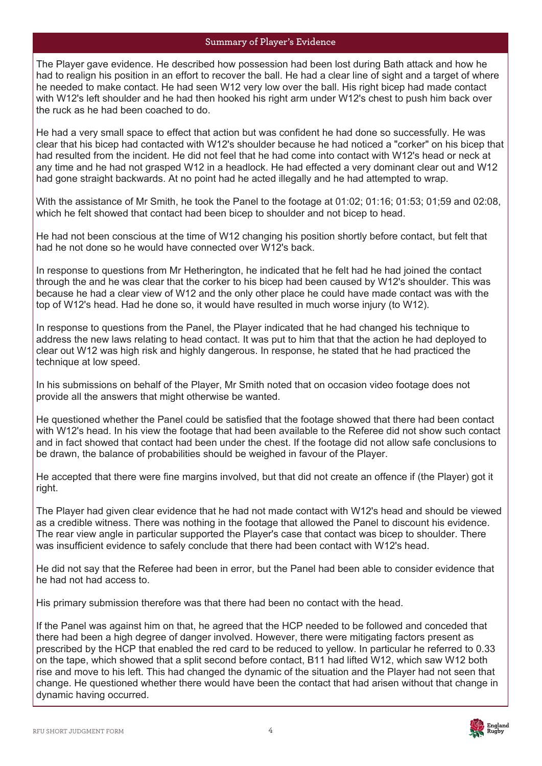#### **Summary of Player's Evidence**

The Player gave evidence. He described how possession had been lost during Bath attack and how he had to realign his position in an effort to recover the ball. He had a clear line of sight and a target of where he needed to make contact. He had seen W12 very low over the ball. His right bicep had made contact with W12's left shoulder and he had then hooked his right arm under W12's chest to push him back over the ruck as he had been coached to do.

He had a very small space to effect that action but was confident he had done so successfully. He was clear that his bicep had contacted with W12's shoulder because he had noticed a "corker" on his bicep that had resulted from the incident. He did not feel that he had come into contact with W12's head or neck at any time and he had not grasped W12 in a headlock. He had effected a very dominant clear out and W12 had gone straight backwards. At no point had he acted illegally and he had attempted to wrap.

With the assistance of Mr Smith, he took the Panel to the footage at 01:02; 01:16; 01:53; 01;59 and 02:08, which he felt showed that contact had been bicep to shoulder and not bicep to head.

He had not been conscious at the time of W12 changing his position shortly before contact, but felt that had he not done so he would have connected over W12's back.

In response to questions from Mr Hetherington, he indicated that he felt had he had joined the contact through the and he was clear that the corker to his bicep had been caused by W12's shoulder. This was because he had a clear view of W12 and the only other place he could have made contact was with the top of W12's head. Had he done so, it would have resulted in much worse injury (to W12).

In response to questions from the Panel, the Player indicated that he had changed his technique to address the new laws relating to head contact. It was put to him that that the action he had deployed to clear out W12 was high risk and highly dangerous. In response, he stated that he had practiced the technique at low speed.

In his submissions on behalf of the Player, Mr Smith noted that on occasion video footage does not provide all the answers that might otherwise be wanted.

He questioned whether the Panel could be satisfied that the footage showed that there had been contact with W12's head. In his view the footage that had been available to the Referee did not show such contact and in fact showed that contact had been under the chest. If the footage did not allow safe conclusions to be drawn, the balance of probabilities should be weighed in favour of the Player.

He accepted that there were fine margins involved, but that did not create an offence if (the Player) got it right.

The Player had given clear evidence that he had not made contact with W12's head and should be viewed as a credible witness. There was nothing in the footage that allowed the Panel to discount his evidence. The rear view angle in particular supported the Player's case that contact was bicep to shoulder. There was insufficient evidence to safely conclude that there had been contact with W12's head.

He did not say that the Referee had been in error, but the Panel had been able to consider evidence that he had not had access to.

His primary submission therefore was that there had been no contact with the head.

If the Panel was against him on that, he agreed that the HCP needed to be followed and conceded that there had been a high degree of danger involved. However, there were mitigating factors present as prescribed by the HCP that enabled the red card to be reduced to yellow. In particular he referred to 0.33 on the tape, which showed that a split second before contact, B11 had lifted W12, which saw W12 both rise and move to his left. This had changed the dynamic of the situation and the Player had not seen that change. He questioned whether there would have been the contact that had arisen without that change in dynamic having occurred.

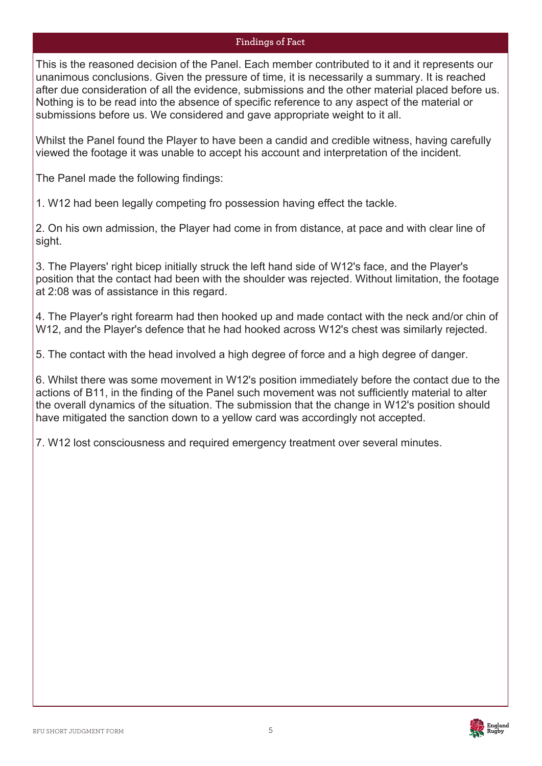# **Findings of Fact**

This is the reasoned decision of the Panel. Each member contributed to it and it represents our unanimous conclusions. Given the pressure of time, it is necessarily a summary. It is reached after due consideration of all the evidence, submissions and the other material placed before us. Nothing is to be read into the absence of specific reference to any aspect of the material or submissions before us. We considered and gave appropriate weight to it all.

Whilst the Panel found the Player to have been a candid and credible witness, having carefully viewed the footage it was unable to accept his account and interpretation of the incident.

The Panel made the following findings:

1. W12 had been legally competing fro possession having effect the tackle.

2. On his own admission, the Player had come in from distance, at pace and with clear line of sight.

3. The Players' right bicep initially struck the left hand side of W12's face, and the Player's position that the contact had been with the shoulder was rejected. Without limitation, the footage at 2:08 was of assistance in this regard.

4. The Player's right forearm had then hooked up and made contact with the neck and/or chin of W12, and the Player's defence that he had hooked across W12's chest was similarly rejected.

5. The contact with the head involved a high degree of force and a high degree of danger.

6. Whilst there was some movement in W12's position immediately before the contact due to the actions of B11, in the finding of the Panel such movement was not sufficiently material to alter the overall dynamics of the situation. The submission that the change in W12's position should have mitigated the sanction down to a yellow card was accordingly not accepted.

7. W12 lost consciousness and required emergency treatment over several minutes.

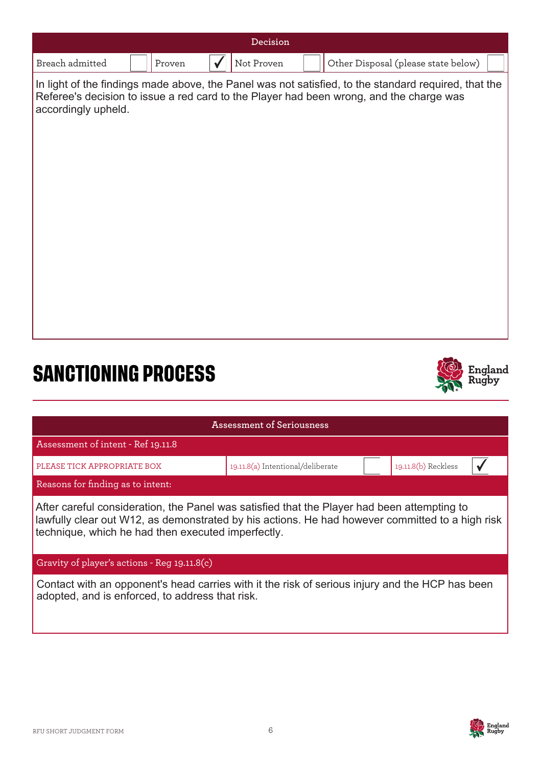| Decision                                           |  |        |  |                                   |                                                                                                                                                                                                 |
|----------------------------------------------------|--|--------|--|-----------------------------------|-------------------------------------------------------------------------------------------------------------------------------------------------------------------------------------------------|
| Breach admitted                                    |  | Proven |  | Not Proven                        | Other Disposal (please state below)                                                                                                                                                             |
| accordingly upheld.                                |  |        |  |                                   | In light of the findings made above, the Panel was not satisfied, to the standard required, that the<br>Referee's decision to issue a red card to the Player had been wrong, and the charge was |
| <b>SANCTIONING PROCESS</b>                         |  |        |  |                                   | England                                                                                                                                                                                         |
|                                                    |  |        |  | <b>Assessment of Seriousness</b>  |                                                                                                                                                                                                 |
| Assessment of intent - Ref 19.11.8                 |  |        |  |                                   |                                                                                                                                                                                                 |
| PLEASE TICK APPROPRIATE BOX                        |  |        |  | 19.11.8(a) Intentional/deliberate | 19.11.8(b) Reckless                                                                                                                                                                             |
| Reasons for finding as to intent:                  |  |        |  |                                   |                                                                                                                                                                                                 |
| technique, which he had then executed imperfectly. |  |        |  |                                   | After careful consideration, the Panel was satisfied that the Player had been attempting to<br>lawfully clear out W12, as demonstrated by his actions. He had however committed to a high risk  |
| Gravity of player's actions - Reg 19.11.8(c)       |  |        |  |                                   |                                                                                                                                                                                                 |

Contact with an opponent's head carries with it the risk of serious injury and the HCP has been adopted, and is enforced, to address that risk.

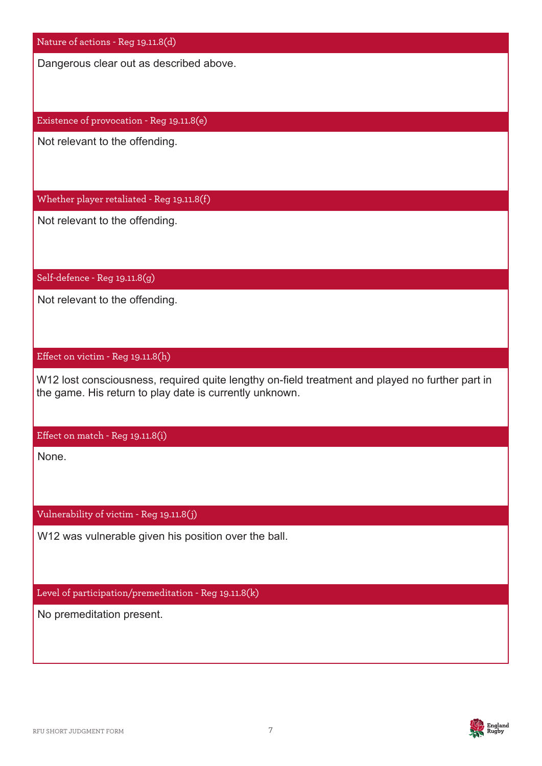Nature of actions - Reg 19.11.8(d)

Dangerous clear out as described above.

Existence of provocation - Reg 19.11.8(e)

Not relevant to the offending.

Whether player retaliated - Reg 19.11.8(f)

Not relevant to the offending.

Self-defence - Reg 19.11.8(g)

Not relevant to the offending.

#### Effect on victim - Reg 19.11.8(h)

W12 lost consciousness, required quite lengthy on-field treatment and played no further part in the game. His return to play date is currently unknown.

Effect on match - Reg 19.11.8(i)

None.

Vulnerability of victim - Reg 19.11.8(j)

W12 was vulnerable given his position over the ball.

Level of participation/premeditation - Reg 19.11.8(k)

No premeditation present.

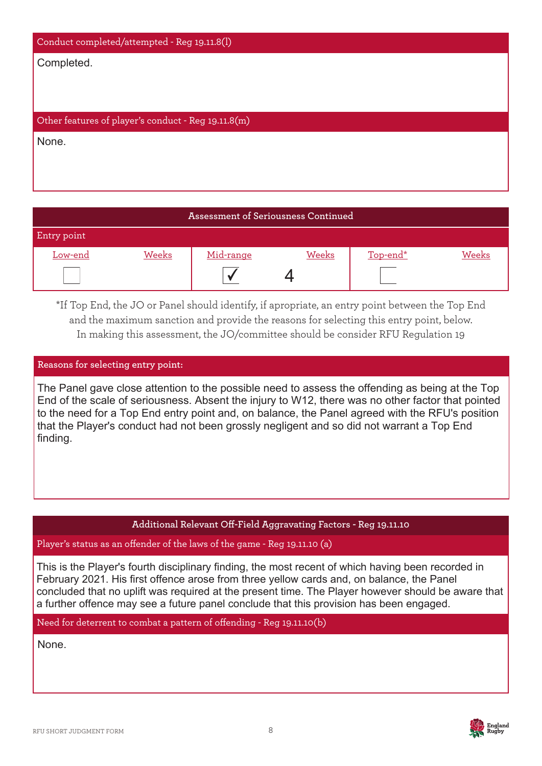| Conduct completed/attempted - Reg 19.11.8(l)        |
|-----------------------------------------------------|
| Completed.                                          |
|                                                     |
|                                                     |
| Other features of player's conduct - Reg 19.11.8(m) |
| None.                                               |
|                                                     |
|                                                     |

# **Assessment of Seriousness Continued** Entry point Low-end Weeks Mid-range Weeks Top-end\* Weeks  $\Delta$ ✔

\*If Top End, the JO or Panel should identify, if apropriate, an entry point between the Top End and the maximum sanction and provide the reasons for selecting this entry point, below. In making this assessment, the JO/committee should be consider RFU Regulation 19

# **Reasons for selecting entry point:**

The Panel gave close attention to the possible need to assess the offending as being at the Top Plea End of the scale of seriousness. Absent the injury to W12, there was no other factor that pointed to the need for a Top End entry point and, on balance, the Panel agreed with the RFU's position that the Player's conduct had not been grossly negligent and so did not warrant a Top End finding.

#### **Additional Relevant Off-Field Aggravating Factors - Reg 19.11.10**

Player's status as an offender of the laws of the game - Reg 19.11.10 (a)

This is the Player's fourth disciplinary finding, the most recent of which having been recorded in February 2021. His first offence arose from three yellow cards and, on balance, the Panel concluded that no uplift was required at the present time. The Player however should be aware that a further offence may see a future panel conclude that this provision has been engaged.

Need for deterrent to combat a pattern of offending - Reg 19.11.10(b)

None.

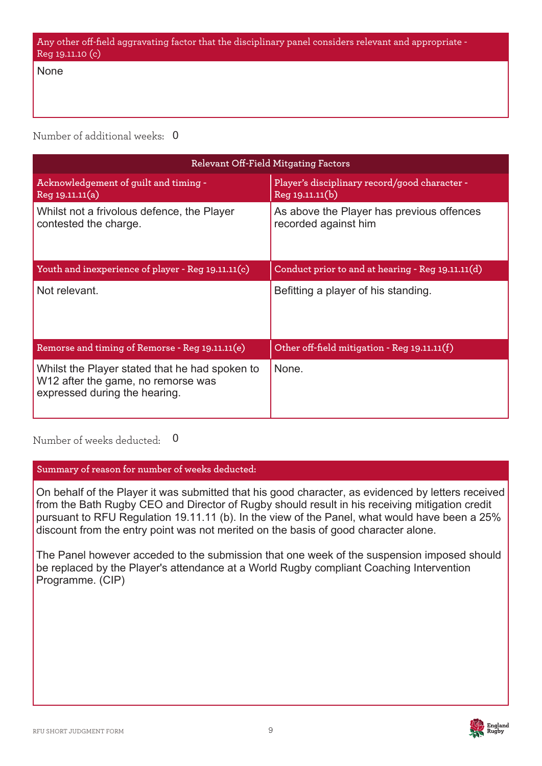None

Number of additional weeks: 0

| Relevant Off-Field Mitgating Factors                                                                                  |                                                                   |  |  |  |  |
|-----------------------------------------------------------------------------------------------------------------------|-------------------------------------------------------------------|--|--|--|--|
| Acknowledgement of guilt and timing -<br>Reg 19.11.11(a)                                                              | Player's disciplinary record/good character -<br>Reg 19.11.11(b)  |  |  |  |  |
| Whilst not a frivolous defence, the Player<br>contested the charge.                                                   | As above the Player has previous offences<br>recorded against him |  |  |  |  |
| Youth and inexperience of player - Reg 19.11.11(c)                                                                    | Conduct prior to and at hearing - Reg 19.11.11(d)                 |  |  |  |  |
| Not relevant.                                                                                                         | Befitting a player of his standing.                               |  |  |  |  |
| Remorse and timing of Remorse - Reg 19.11.11(e)                                                                       | Other off-field mitigation - Reg 19.11.11(f)                      |  |  |  |  |
| Whilst the Player stated that he had spoken to<br>W12 after the game, no remorse was<br>expressed during the hearing. | None.                                                             |  |  |  |  |

Number of weeks deducted: 0

**Summary of reason for number of weeks deducted:**

On behalf of the Player it was submitted that his good character, as evidenced by letters received from the Bath Rugby CEO and Director of Rugby should result in his receiving mitigation credit pursuant to RFU Regulation 19.11.11 (b). In the view of the Panel, what would have been a 25% discount from the entry point was not merited on the basis of good character alone.

The Panel however acceded to the submission that one week of the suspension imposed should be replaced by the Player's attendance at a World Rugby compliant Coaching Intervention Programme. (CIP)